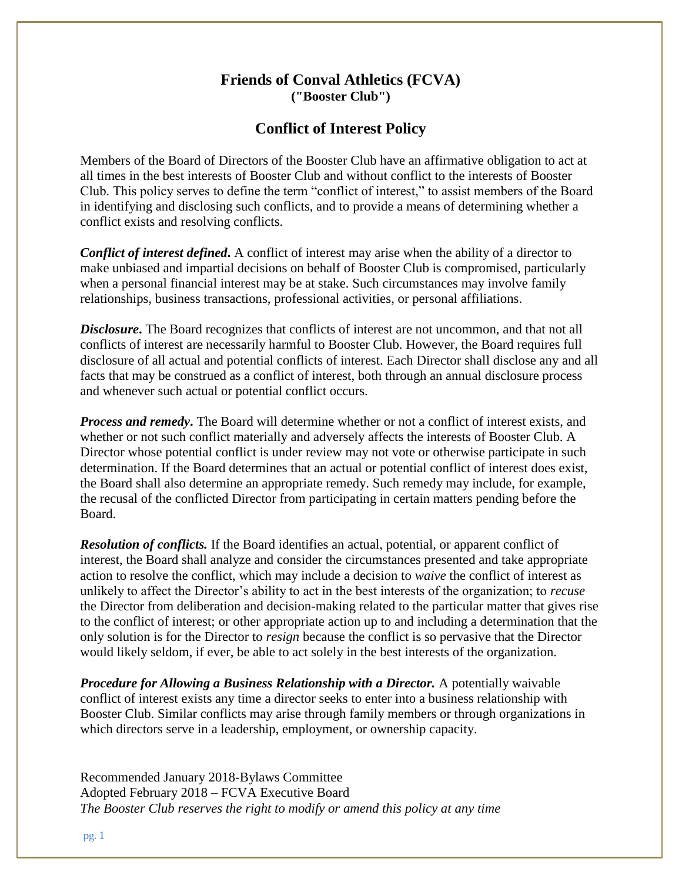## **Friends of Conval Athletics (FCVA) ("Booster Club")**

## **Conflict of Interest Policy**

Members of the Board of Directors of the Booster Club have an affirmative obligation to act at all times in the best interests of Booster Club and without conflict to the interests of Booster Club. This policy serves to define the term "conflict of interest," to assist members of the Board in identifying and disclosing such conflicts, and to provide a means of determining whether a conflict exists and resolving conflicts.

*Conflict of interest defined***.** A conflict of interest may arise when the ability of a director to make unbiased and impartial decisions on behalf of Booster Club is compromised, particularly when a personal financial interest may be at stake. Such circumstances may involve family relationships, business transactions, professional activities, or personal affiliations.

*Disclosure***.** The Board recognizes that conflicts of interest are not uncommon, and that not all conflicts of interest are necessarily harmful to Booster Club. However, the Board requires full disclosure of all actual and potential conflicts of interest. Each Director shall disclose any and all facts that may be construed as a conflict of interest, both through an annual disclosure process and whenever such actual or potential conflict occurs.

*Process and remedy***.** The Board will determine whether or not a conflict of interest exists, and whether or not such conflict materially and adversely affects the interests of Booster Club. A Director whose potential conflict is under review may not vote or otherwise participate in such determination. If the Board determines that an actual or potential conflict of interest does exist, the Board shall also determine an appropriate remedy. Such remedy may include, for example, the recusal of the conflicted Director from participating in certain matters pending before the Board.

*Resolution of conflicts.* If the Board identifies an actual, potential, or apparent conflict of interest, the Board shall analyze and consider the circumstances presented and take appropriate action to resolve the conflict, which may include a decision to *waive* the conflict of interest as unlikely to affect the Director's ability to act in the best interests of the organization; to *recuse*  the Director from deliberation and decision-making related to the particular matter that gives rise to the conflict of interest; or other appropriate action up to and including a determination that the only solution is for the Director to *resign* because the conflict is so pervasive that the Director would likely seldom, if ever, be able to act solely in the best interests of the organization.

*Procedure for Allowing a Business Relationship with a Director.* A potentially waivable conflict of interest exists any time a director seeks to enter into a business relationship with Booster Club. Similar conflicts may arise through family members or through organizations in which directors serve in a leadership, employment, or ownership capacity.

Recommended January 2018-Bylaws Committee Adopted February 2018 – FCVA Executive Board *The Booster Club reserves the right to modify or amend this policy at any time*